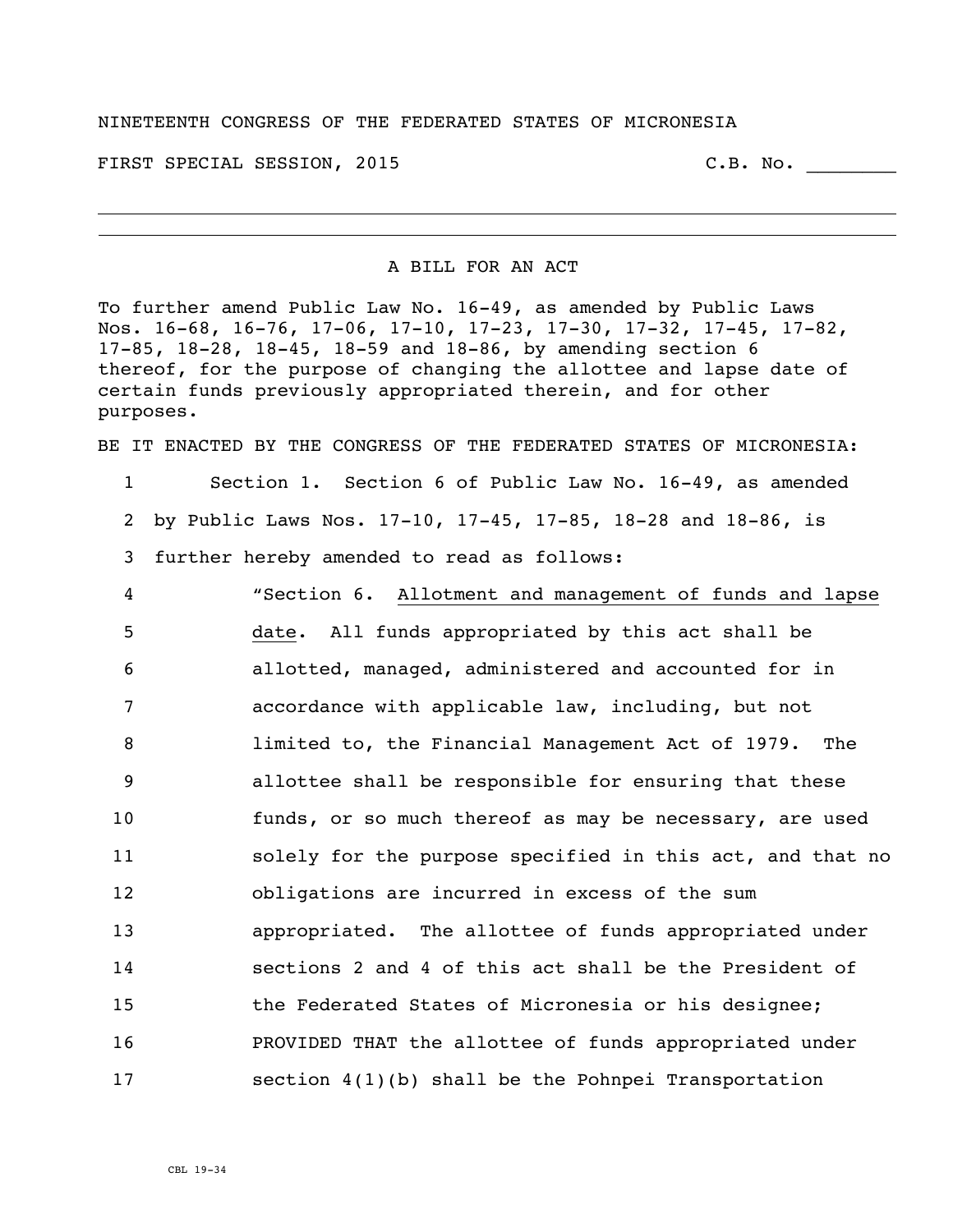## NINETEENTH CONGRESS OF THE FEDERATED STATES OF MICRONESIA

FIRST SPECIAL SESSION, 2015 C.B. No. \_\_\_\_\_\_

## A BILL FOR AN ACT

To further amend Public Law No. 16-49, as amended by Public Laws Nos. 16-68, 16-76, 17-06, 17-10, 17-23, 17-30, 17-32, 17-45, 17-82, 17-85, 18-28, 18-45, 18-59 and 18-86, by amending section 6 thereof, for the purpose of changing the allottee and lapse date of certain funds previously appropriated therein, and for other purposes.

BE IT ENACTED BY THE CONGRESS OF THE FEDERATED STATES OF MICRONESIA:

1 Section 1. Section 6 of Public Law No. 16-49, as amended 2 by Public Laws Nos. 17-10, 17-45, 17-85, 18-28 and 18-86, is 3 further hereby amended to read as follows:

 "Section 6. Allotment and management of funds and lapse date. All funds appropriated by this act shall be allotted, managed, administered and accounted for in accordance with applicable law, including, but not limited to, the Financial Management Act of 1979. The allottee shall be responsible for ensuring that these funds, or so much thereof as may be necessary, are used 11 solely for the purpose specified in this act, and that no obligations are incurred in excess of the sum appropriated. The allottee of funds appropriated under sections 2 and 4 of this act shall be the President of **the Federated States of Micronesia or his designee;**  PROVIDED THAT the allottee of funds appropriated under section 4(1)(b) shall be the Pohnpei Transportation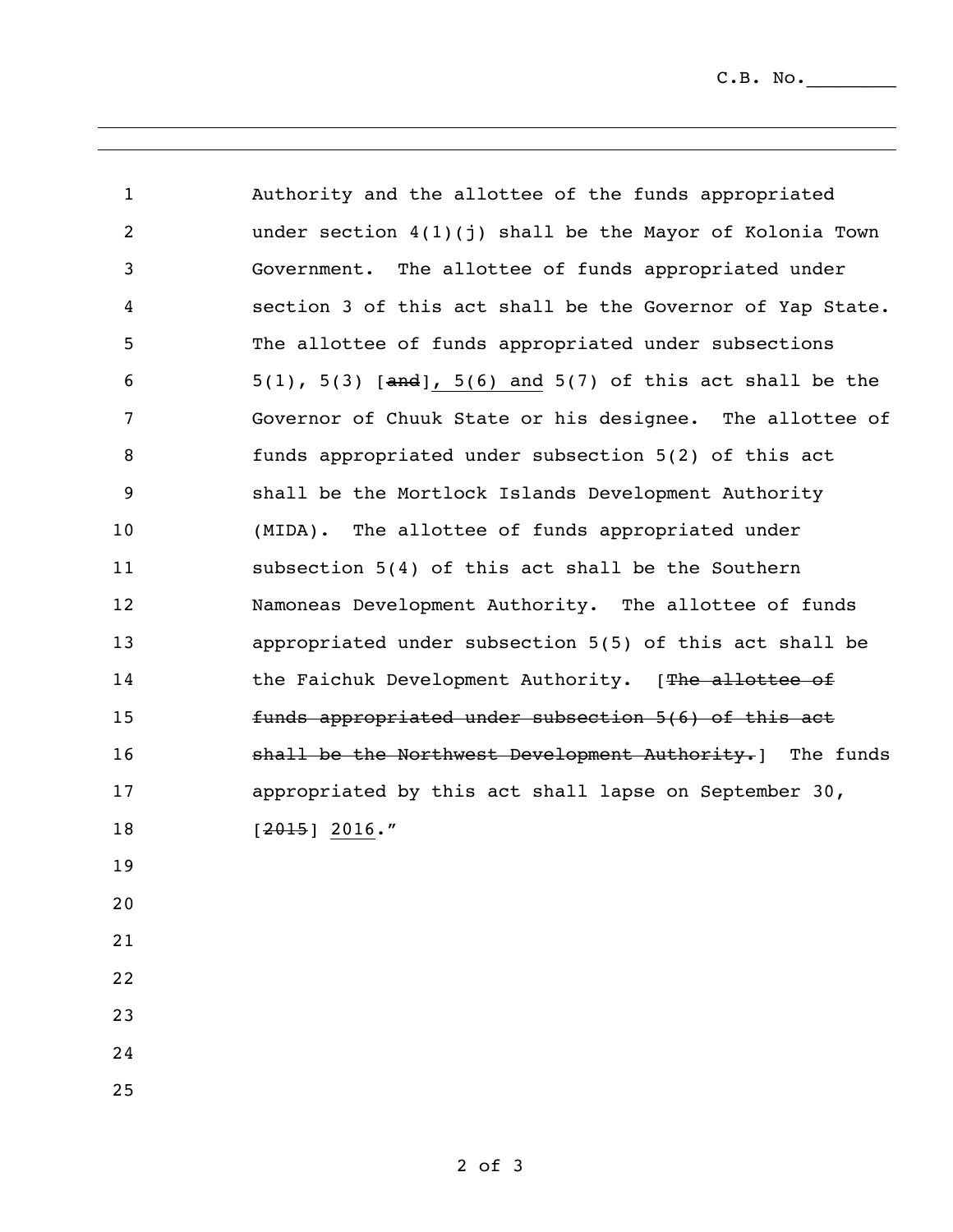$C.B. No.$ 

| $\mathbf{1}$   | Authority and the allottee of the funds appropriated              |
|----------------|-------------------------------------------------------------------|
| $\overline{c}$ | under section $4(1)(j)$ shall be the Mayor of Kolonia Town        |
| 3              | Government. The allottee of funds appropriated under              |
| 4              | section 3 of this act shall be the Governor of Yap State.         |
| 5              | The allottee of funds appropriated under subsections              |
| 6              | $5(1)$ , $5(3)$ [and], $5(6)$ and $5(7)$ of this act shall be the |
| 7              | Governor of Chuuk State or his designee. The allottee of          |
| 8              | funds appropriated under subsection 5(2) of this act              |
| 9              | shall be the Mortlock Islands Development Authority               |
| 10             | (MIDA). The allottee of funds appropriated under                  |
| 11             | subsection 5(4) of this act shall be the Southern                 |
| 12             | Namoneas Development Authority. The allottee of funds             |
| 13             | appropriated under subsection 5(5) of this act shall be           |
| 14             | the Faichuk Development Authority. [The allottee of               |
| 15             | funds appropriated under subsection 5(6) of this act              |
| 16             | shall be the Northwest Development Authority. ] The funds         |
| 17             | appropriated by this act shall lapse on September 30,             |
| 18             | $[2015]$ 2016."                                                   |
| 19             |                                                                   |
| 20             |                                                                   |
| 21             |                                                                   |
| 22             |                                                                   |
| 23             |                                                                   |
| 24             |                                                                   |
| 25             |                                                                   |